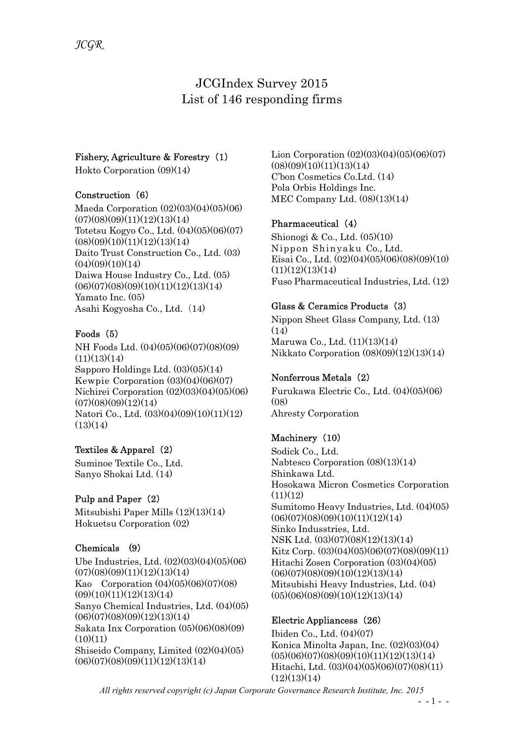# JCGIndex Survey 2015 List of 146 responding firms

#### Fishery, Agriculture & Forestry (1)

Hokto Corporation (09)(14)

#### Construction (6)

Maeda Corporation (02)(03)(04)(05)(06)  $(07)(08)(09)(11)(12)(13)(14)$ Totetsu Kogyo Co., Ltd. (04)(05)(06)(07)  $(08)(09)(10)(11)(12)(13)(14)$ Daito Trust Construction Co., Ltd. (03)  $(04)(09)(10)(14)$ Daiwa House Industry Co., Ltd. (05)  $(06)(07)(08)(09)(10)(11)(12)(13)(14)$ Yamato Inc. (05) Asahi Kogyosha Co., Ltd. (14)

#### Foods (5)

NH Foods Ltd. (04)(05)(06)(07)(08)(09)  $(11)(13)(14)$ Sapporo Holdings Ltd. (03)(05)(14) Kewpie Corporation (03)(04)(06)(07) Nichirei Corporation (02)(03)(04)(05)(06)  $(07)(08)(09)(12)(14)$ Natori Co., Ltd. (03)(04)(09)(10)(11)(12)  $(13)(14)$ 

#### Textiles & Apparel (2)

Suminoe Textile Co., Ltd. Sanyo Shokai Ltd. (14)

#### Pulp and Paper (2)

Mitsubishi Paper Mills (12)(13)(14) Hokuetsu Corporation (02)

#### Chemicals (9)

Ube Industries, Ltd. (02)(03)(04)(05)(06)  $(07)(08)(09)(11)(12)(13)(14)$ Kao Corporation (04)(05)(06)(07)(08)  $(09)(10)(11)(12)(13)(14)$ Sanyo Chemical Industries, Ltd. (04)(05)  $(06)(07)(08)(09)(12)(13)(14)$ Sakata Inx Corporation (05)(06)(08)(09)  $(10)(11)$ Shiseido Company, Limited (02)(04)(05)  $(06)(07)(08)(09)(11)(12)(13)(14)$ 

Lion Corporation (02)(03)(04)(05)(06)(07)  $(08)(09)(10)(11)(13)(14)$ C'bon Cosmetics Co.Ltd. (14) Pola Orbis Holdings Inc. MEC Company Ltd. (08)(13)(14)

#### Pharmaceutical (4)

Shionogi & Co., Ltd. (05)(10) Nippon Shinyaku Co., Ltd. Eisai Co., Ltd. (02)(04)(05)(06)(08)(09)(10)  $(11)(12)(13)(14)$ Fuso Pharmaceutical Industries, Ltd. (12)

#### Glass & Ceramics Products (3)

Nippon Sheet Glass Company, Ltd. (13)  $(14)$ Maruwa Co., Ltd. (11)(13)(14) Nikkato Corporation (08)(09)(12)(13)(14)

#### Nonferrous Metals (2)

Furukawa Electric Co., Ltd. (04)(05)(06)  $(08)$ Ahresty Corporation

## Machinery (10)

Sodick Co., Ltd. Nabtesco Corporation (08)(13)(14) Shinkawa Ltd. Hosokawa Micron Cosmetics Corporation  $(11)(12)$ Sumitomo Heavy Industries, Ltd. (04)(05)  $(06)(07)(08)(09)(10)(11)(12)(14)$ Sinko Indusstries, Ltd. NSK Ltd. (03)(07)(08)(12)(13)(14) Kitz Corp. (03)(04)(05)(06)(07)(08)(09)(11) Hitachi Zosen Corporation (03)(04)(05)  $(06)(07)(08)(09)(10)(12)(13)(14)$ Mitsubishi Heavy Industries, Ltd. (04)  $(05)(06)(08)(09)(10)(12)(13)(14)$ 

#### Electric Appliancess (26)

Ibiden Co., Ltd. (04)(07) Konica Minolta Japan, Inc. (02)(03)(04)  $(05)(06)(07)(08)(09)(10)(11)(12)(13)(14)$ Hitachi, Ltd. (03)(04)(05)(06)(07)(08)(11)  $(12)(13)(14)$ 

All rights reserved copyright (c) Japan Corporate Governance Research Institute, Inc. 2015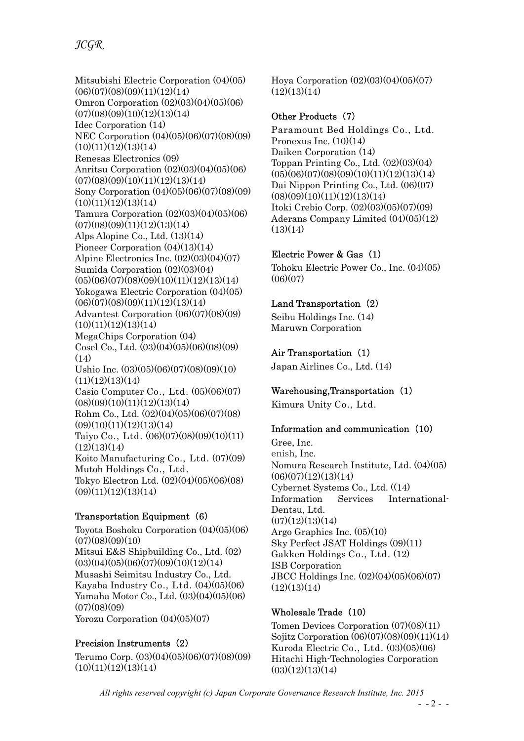## JCGR

Mitsubishi Electric Corporation (04)(05)  $(06)(07)(08)(09)(11)(12)(14)$ Omron Corporation (02)(03)(04)(05)(06)  $(07)(08)(09)(10)(12)(13)(14)$ Idec Corporation (14) NEC Corporation (04)(05)(06)(07)(08)(09)  $(10)(11)(12)(13)(14)$ Renesas Electronics (09) Anritsu Corporation (02)(03)(04)(05)(06)  $(07)(08)(09)(10)(11)(12)(13)(14)$ Sony Corporation (04)(05)(06)(07)(08)(09)  $(10)(11)(12)(13)(14)$ Tamura Corporation (02)(03)(04)(05)(06)  $(07)(08)(09)(11)(12)(13)(14)$ Alps Alopine Co., Ltd. (13)(14) Pioneer Corporation (04)(13)(14) Alpine Electronics Inc. (02)(03)(04)(07) Sumida Corporation (02)(03)(04)  $(05)(06)(07)(08)(09)(10)(11)(12)(13)(14)$ Yokogawa Electric Corporation (04)(05)  $(06)(07)(08)(09)(11)(12)(13)(14)$ Advantest Corporation (06)(07)(08)(09)  $(10)(11)(12)(13)(14)$ MegaChips Corporation (04) Cosel Co., Ltd. (03)(04)(05)(06)(08)(09)  $(14)$ Ushio Inc. (03)(05)(06)(07)(08)(09)(10)  $(11)(12)(13)(14)$ Casio Computer Co., Ltd. (05)(06)(07)  $(08)(09)(10)(11)(12)(13)(14)$ Rohm Co., Ltd. (02)(04)(05)(06)(07)(08)  $(09)(10)(11)(12)(13)(14)$ Taiyo Co., Ltd. (06)(07)(08)(09)(10)(11)  $(12)(13)(14)$ Koito Manufacturing Co., Ltd. (07)(09) Mutoh Holdings Co., Ltd. Tokyo Electron Ltd. (02)(04)(05)(06)(08)  $(09)(11)(12)(13)(14)$ 

#### Transportation Equipment (6)

Toyota Boshoku Corporation (04)(05)(06)  $(07)(08)(09)(10)$ Mitsui E&S Shipbuilding Co., Ltd. (02)  $(03)(04)(05)(06)(07)(09)(10)(12)(14)$ Musashi Seimitsu Industry Co., Ltd. Kayaba Industry Co., Ltd. (04)(05)(06) Yamaha Motor Co., Ltd. (03)(04)(05)(06)  $(07)(08)(09)$ Yorozu Corporation  $(04)(05)(07)$ 

#### Precision Instruments (2)

Terumo Corp. (03)(04)(05)(06)(07)(08)(09)  $(10)(11)(12)(13)(14)$ 

Hoya Corporation (02)(03)(04)(05)(07)  $(12)(13)(14)$ 

#### Other Products (7)

Paramount Bed Holdings Co., Ltd. Pronexus Inc.  $(10)(14)$ Daiken Corporation (14) Toppan Printing Co., Ltd. (02)(03)(04)  $(05)(06)(07)(08)(09)(10)(11)(12)(13)(14)$ Dai Nippon Printing Co., Ltd. (06)(07)  $(08)(09)(10)(11)(12)(13)(14)$ Itoki Crebio Corp. (02)(03)(05)(07)(09) Aderans Company Limited (04)(05)(12)  $(13)(14)$ 

#### Electric Power & Gas (1)

Tohoku Electric Power Co., Inc. (04)(05)  $(06)(07)$ 

#### Land Transportation (2)

Seibu Holdings Inc. (14) Maruwn Corporation

#### Air Transportation (1)

Japan Airlines Co., Ltd. (14)

#### Warehousing,Transportation (1)

Kimura Unity Co., Ltd.

#### Information and communication (10)

Gree, Inc. enish, Inc. Nomura Research Institute, Ltd. (04)(05)  $(06)(07)(12)(13)(14)$ Cybernet Systems Co., Ltd. ((14) Information Services International-Dentsu, Ltd.  $(07)(12)(13)(14)$ Argo Graphics Inc. (05)(10) Sky Perfect JSAT Holdings (09)(11) Gakken Holdings Co., Ltd. (12) ISB Corporation JBCC Holdings Inc. (02)(04)(05)(06)(07)  $(12)(13)(14)$ 

#### Wholesale Trade (10)

Tomen Devices Corporation (07)(08)(11) Sojitz Corporation (06)(07)(08)(09)(11)(14) Kuroda Electric Co., Ltd. (03)(05)(06) Hitachi High-Technologies Corporation  $(03)(12)(13)(14)$